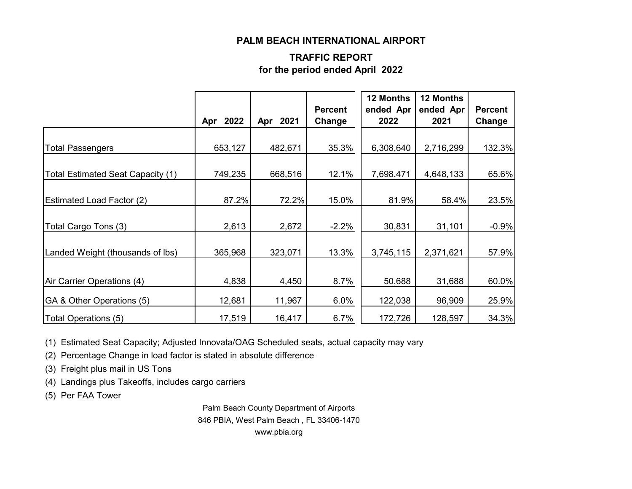#### **PALM BEACH INTERNATIONAL AIRPORT**

#### **TRAFFIC REPORT for the period ended April 2022**

|                                   | 2022<br>Apr | Apr 2021 | <b>Percent</b><br>Change | 12 Months<br>ended Apr<br>2022 | 12 Months<br>ended Apr<br>2021 | <b>Percent</b><br>Change |
|-----------------------------------|-------------|----------|--------------------------|--------------------------------|--------------------------------|--------------------------|
| <b>Total Passengers</b>           | 653,127     | 482,671  | 35.3%                    | 6,308,640                      | 2,716,299                      | 132.3%                   |
|                                   |             |          |                          |                                |                                |                          |
| Total Estimated Seat Capacity (1) | 749,235     | 668,516  | 12.1%                    | 7,698,471                      | 4,648,133                      | 65.6%                    |
| <b>Estimated Load Factor (2)</b>  | 87.2%       | 72.2%    | 15.0%                    | 81.9%                          | 58.4%                          | 23.5%                    |
| Total Cargo Tons (3)              | 2,613       | 2,672    | $-2.2%$                  | 30,831                         | 31,101                         | $-0.9%$                  |
| Landed Weight (thousands of lbs)  | 365,968     | 323,071  | 13.3%                    | 3,745,115                      | 2,371,621                      | 57.9%                    |
|                                   |             |          |                          |                                |                                |                          |
| Air Carrier Operations (4)        | 4,838       | 4,450    | 8.7%                     | 50,688                         | 31,688                         | 60.0%                    |
| GA & Other Operations (5)         | 12,681      | 11,967   | 6.0%                     | 122,038                        | 96,909                         | 25.9%                    |
| Total Operations (5)              | 17,519      | 16,417   | 6.7%                     | 172,726                        | 128,597                        | 34.3%                    |

(1) Estimated Seat Capacity; Adjusted Innovata/OAG Scheduled seats, actual capacity may vary

(2) Percentage Change in load factor is stated in absolute difference

(3) Freight plus mail in US Tons

(4) Landings plus Takeoffs, includes cargo carriers

(5) Per FAA Tower

Palm Beach County Department of Airports 846 PBIA, West Palm Beach , FL 33406-1470 [www.pbia.org](http://www.pbia.org/)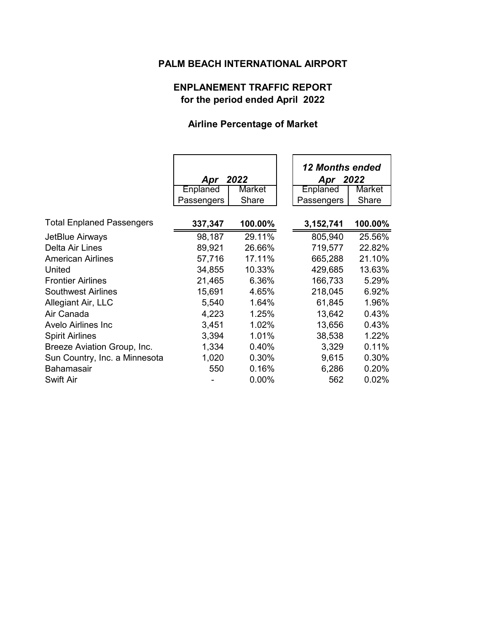## **PALM BEACH INTERNATIONAL AIRPORT**

### **ENPLANEMENT TRAFFIC REPORT for the period ended April 2022**

# **Airline Percentage of Market**

|                                  | 2022<br>Apr |          | <b>12 Months ended</b><br>Apr 2022 |         |
|----------------------------------|-------------|----------|------------------------------------|---------|
|                                  | Enplaned    | Market   | <b>Enplaned</b>                    | Market  |
|                                  | Passengers  | Share    | Passengers                         | Share   |
|                                  |             |          |                                    |         |
| <b>Total Enplaned Passengers</b> | 337,347     | 100.00%  | 3,152,741                          | 100.00% |
| JetBlue Airways                  | 98,187      | 29.11%   | 805,940                            | 25.56%  |
| Delta Air Lines                  | 89,921      | 26.66%   | 719,577                            | 22.82%  |
| <b>American Airlines</b>         | 57,716      | 17.11%   | 665,288                            | 21.10%  |
| United                           | 34,855      | 10.33%   | 429,685                            | 13.63%  |
| <b>Frontier Airlines</b>         | 21,465      | 6.36%    | 166,733                            | 5.29%   |
| <b>Southwest Airlines</b>        | 15,691      | 4.65%    | 218,045                            | 6.92%   |
| Allegiant Air, LLC               | 5,540       | 1.64%    | 61,845                             | 1.96%   |
| Air Canada                       | 4,223       | 1.25%    | 13,642                             | 0.43%   |
| Avelo Airlines Inc               | 3,451       | 1.02%    | 13,656                             | 0.43%   |
| <b>Spirit Airlines</b>           | 3,394       | 1.01%    | 38,538                             | 1.22%   |
| Breeze Aviation Group, Inc.      | 1,334       | 0.40%    | 3,329                              | 0.11%   |
| Sun Country, Inc. a Minnesota    | 1,020       | 0.30%    | 9,615                              | 0.30%   |
| <b>Bahamasair</b>                | 550         | 0.16%    | 6,286                              | 0.20%   |
| Swift Air                        |             | $0.00\%$ | 562                                | 0.02%   |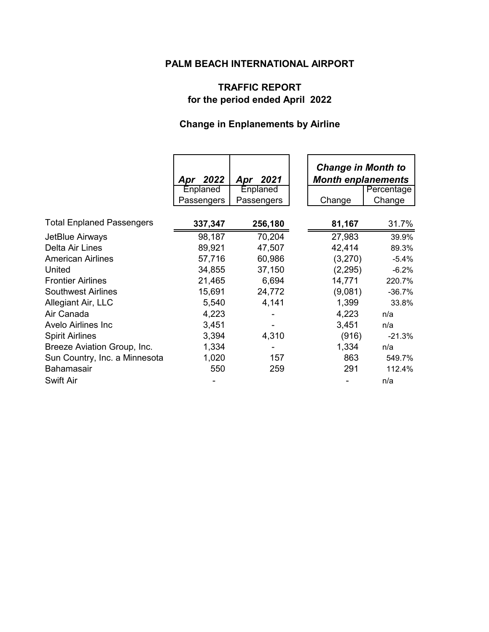## **PALM BEACH INTERNATIONAL AIRPORT**

# **TRAFFIC REPORT for the period ended April 2022**

# **Change in Enplanements by Airline**

|                                  |             |             | <b>Change in Month to</b> |            |
|----------------------------------|-------------|-------------|---------------------------|------------|
|                                  | 2022<br>Apr | 2021<br>Apr | <b>Month enplanements</b> |            |
|                                  | Enplaned    | Enplaned    |                           | Percentage |
|                                  | Passengers  | Passengers  | Change                    | Change     |
|                                  |             |             |                           |            |
| <b>Total Enplaned Passengers</b> | 337,347     | 256,180     | 81,167                    | 31.7%      |
| JetBlue Airways                  | 98,187      | 70,204      | 27,983                    | 39.9%      |
| Delta Air Lines                  | 89,921      | 47,507      | 42,414                    | 89.3%      |
| <b>American Airlines</b>         | 57,716      | 60,986      | (3,270)                   | $-5.4%$    |
| United                           | 34,855      | 37,150      | (2, 295)                  | $-6.2%$    |
| <b>Frontier Airlines</b>         | 21,465      | 6,694       | 14,771                    | 220.7%     |
| <b>Southwest Airlines</b>        | 15,691      | 24,772      | (9,081)                   | $-36.7%$   |
| Allegiant Air, LLC               | 5,540       | 4,141       | 1,399                     | 33.8%      |
| Air Canada                       | 4,223       |             | 4,223                     | n/a        |
| Avelo Airlines Inc               | 3,451       |             | 3,451                     | n/a        |
| <b>Spirit Airlines</b>           | 3,394       | 4,310       | (916)                     | $-21.3%$   |
| Breeze Aviation Group, Inc.      | 1,334       |             | 1,334                     | n/a        |
| Sun Country, Inc. a Minnesota    | 1,020       | 157         | 863                       | 549.7%     |
| <b>Bahamasair</b>                | 550         | 259         | 291                       | 112.4%     |
| Swift Air                        |             |             |                           | n/a        |